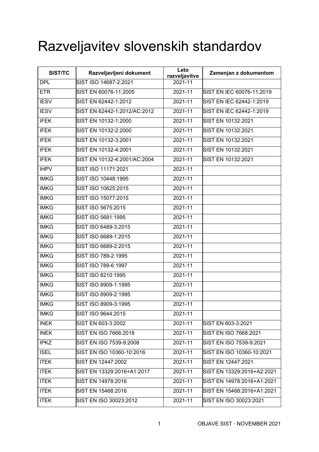## Razveljavitev slovenskih standardov

| SIST/TC     | Razveljavljeni dokument      | Leto<br>razveljavitve | Zamenjan z dokumentom      |
|-------------|------------------------------|-----------------------|----------------------------|
| <b>DPL</b>  | SIST ISO 14687-2:2021        | 2021-11               |                            |
| <b>ETR</b>  | SIST EN 60076-11:2005        | 2021-11               | SIST EN IEC 60076-11:2019  |
| <b>IESV</b> | SIST EN 62442-1:2012         | 2021-11               | SIST EN IEC 62442-1:2019   |
| <b>IESV</b> | SIST EN 62442-1:2012/AC:2012 | 2021-11               | SIST EN IEC 62442-1:2019   |
| <b>IFEK</b> | SIST EN 10132-1:2000         | 2021-11               | SIST EN 10132:2021         |
| <b>IFEK</b> | SIST EN 10132-2:2000         | 2021-11               | SIST EN 10132:2021         |
| <b>IFEK</b> | SIST EN 10132-3:2001         | 2021-11               | SIST EN 10132:2021         |
| <b>IFEK</b> | SIST EN 10132-4:2001         | 2021-11               | SIST EN 10132:2021         |
| <b>IFEK</b> | SIST EN 10132-4:2001/AC:2004 | 2021-11               | SIST EN 10132:2021         |
| <b>IHPV</b> | SIST ISO 11171:2021          | 2021-11               |                            |
| <b>IMKG</b> | SIST ISO 10448:1995          | 2021-11               |                            |
| <b>IMKG</b> | SIST ISO 10625:2015          | $2021 - 11$           |                            |
| <b>IMKG</b> | SIST ISO 15077:2015          | 2021-11               |                            |
| <b>IMKG</b> | SIST ISO 5675:2015           | 2021-11               |                            |
| <b>IMKG</b> | SIST ISO 5681:1995           | $2021 - 11$           |                            |
| <b>IMKG</b> | SIST ISO 6489-3:2015         | $2021 - 11$           |                            |
| <b>IMKG</b> | SIST ISO 6689-1:2015         | $2021 - 11$           |                            |
| <b>IMKG</b> | SIST ISO 6689-2:2015         | 2021-11               |                            |
| <b>IMKG</b> | SIST ISO 789-2:1995          | 2021-11               |                            |
| <b>IMKG</b> | SIST ISO 789-6:1997          | 2021-11               |                            |
| <b>IMKG</b> | SIST ISO 8210:1995           | 2021-11               |                            |
| <b>IMKG</b> | SIST ISO 8909-1:1995         | 2021-11               |                            |
| <b>IMKG</b> | SIST ISO 8909-2:1995         | 2021-11               |                            |
| <b>IMKG</b> | SIST ISO 8909-3:1995         | 2021-11               |                            |
| <b>IMKG</b> | SIST ISO 9644:2015           | 2021-11               |                            |
| <b>INEK</b> | SIST EN 603-3:2002           | 2021-11               | SIST EN 603-3:2021         |
| <b>INEK</b> | SIST EN ISO 7668:2018        | 2021-11               | SIST EN ISO 7668:2021      |
| <b>IPKZ</b> | SIST EN ISO 7539-9:2008      | 2021-11               | SIST EN ISO 7539-9:2021    |
| <b>ISEL</b> | SIST EN ISO 10360-10:2016    | 2021-11               | SIST EN ISO 10360-10:2021  |
| <b>ITEK</b> | SIST EN 12447:2002           | 2021-11               | SIST EN 12447:2021         |
| <b>ITEK</b> | SIST EN 13329:2016+A1:2017   | 2021-11               | SIST EN 13329:2016+A2:2021 |
| <b>ITEK</b> | SIST EN 14978:2016           | 2021-11               | SIST EN 14978:2016+A1:2021 |
| <b>ITEK</b> | SIST EN 15468:2016           | 2021-11               | SIST EN 15468:2016+A1:2021 |
| <b>ITEK</b> | SIST EN ISO 30023:2012       | 2021-11               | SIST EN ISO 30023:2021     |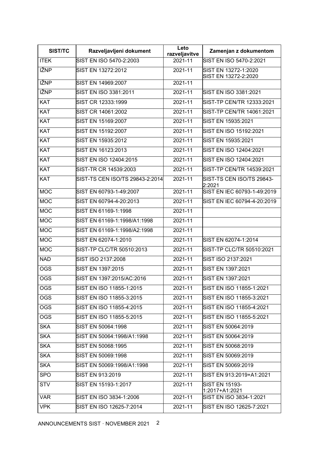| SIST/TC     | Razveljavljeni dokument         | Leto<br>razveljavitve | Zamenjan z dokumentom                        |
|-------------|---------------------------------|-----------------------|----------------------------------------------|
| <b>ITEK</b> | SIST EN ISO 5470-2:2003         | $2021 - 11$           | SIST EN ISO 5470-2:2021                      |
| <b>IŽNP</b> | SIST EN 13272:2012              | $2021 - 11$           | SIST EN 13272-1:2020<br>SIST EN 13272-2:2020 |
| <b>IŽNP</b> | SIST EN 14969:2007              | 2021-11               |                                              |
| <b>IŽNP</b> | SIST EN ISO 3381:2011           | 2021-11               | SIST EN ISO 3381:2021                        |
| <b>KAT</b>  | SIST CR 12333:1999              | 2021-11               | SIST-TP CEN/TR 12333:2021                    |
| KAT         | SIST CR 14061:2002              | 2021-11               | SIST-TP CEN/TR 14061:2021                    |
| KAT         | SIST EN 15169:2007              | 2021-11               | SIST EN 15935:2021                           |
| <b>KAT</b>  | SIST EN 15192:2007              | 2021-11               | SIST EN ISO 15192:2021                       |
| <b>KAT</b>  | SIST EN 15935:2012              | 2021-11               | SIST EN 15935:2021                           |
| <b>KAT</b>  | SIST EN 16123:2013              | 2021-11               | SIST EN ISO 12404:2021                       |
| <b>KAT</b>  | SIST EN ISO 12404:2015          | 2021-11               | SIST EN ISO 12404:2021                       |
| <b>KAT</b>  | SIST-TR CR 14539:2003           | 2021-11               | SIST-TP CEN/TR 14539:2021                    |
| <b>KAT</b>  | SIST-TS CEN ISO/TS 29843-2:2014 | 2021-11               | SIST-TS CEN ISO/TS 29843-<br>2:2021          |
| <b>MOC</b>  | SIST EN 60793-1-49:2007         | 2021-11               | SIST EN IEC 60793-1-49:2019                  |
| <b>MOC</b>  | SIST EN 60794-4-20:2013         | 2021-11               | SIST EN IEC 60794-4-20:2019                  |
| <b>MOC</b>  | SIST EN 61169-1:1998            | 2021-11               |                                              |
| <b>MOC</b>  | SIST EN 61169-1:1998/A1:1998    | 2021-11               |                                              |
| <b>MOC</b>  | SIST EN 61169-1:1998/A2:1998    | 2021-11               |                                              |
| <b>MOC</b>  | SIST EN 62074-1:2010            | 2021-11               | SIST EN 62074-1:2014                         |
| <b>MOC</b>  | SIST-TP CLC/TR 50510:2013       | 2021-11               | SIST-TP CLC/TR 50510:2021                    |
| <b>NAD</b>  | SIST ISO 2137:2008              | 2021-11               | SIST ISO 2137:2021                           |
| <b>OGS</b>  | SIST EN 1397:2015               | 2021-11               | SIST EN 1397:2021                            |
| <b>OGS</b>  | SIST EN 1397:2015/AC:2016       | 2021-11               | SIST EN 1397:2021                            |
| <b>OGS</b>  | SIST EN ISO 11855-1:2015        | 2021-11               | SIST EN ISO 11855-1:2021                     |
| <b>OGS</b>  | SIST EN ISO 11855-3:2015        | 2021-11               | SIST EN ISO 11855-3:2021                     |
| <b>OGS</b>  | SIST EN ISO 11855-4:2015        | 2021-11               | SIST EN ISO 11855-4:2021                     |
| <b>OGS</b>  | SIST EN ISO 11855-5:2015        | 2021-11               | SIST EN ISO 11855-5:2021                     |
| <b>SKA</b>  | SIST EN 50064:1998              | 2021-11               | SIST EN 50064:2019                           |
| <b>SKA</b>  | SIST EN 50064:1998/A1:1998      | 2021-11               | SIST EN 50064:2019                           |
| <b>SKA</b>  | SIST EN 50068:1995              | 2021-11               | SIST EN 50068:2019                           |
| <b>SKA</b>  | SIST EN 50069:1998              | 2021-11               | SIST EN 50069:2019                           |
| <b>SKA</b>  | SIST EN 50069:1998/A1:1998      | 2021-11               | SIST EN 50069:2019                           |
| <b>SPO</b>  | SIST EN 913:2019                | 2021-11               | SIST EN 913:2019+A1:2021                     |
| <b>STV</b>  | SIST EN 15193-1:2017            | 2021-11               | <b>SIST EN 15193-</b><br>1:2017+A1:2021      |
| <b>VAR</b>  | SIST EN ISO 3834-1:2006         | 2021-11               | SIST EN ISO 3834-1:2021                      |
| <b>VPK</b>  | SIST EN ISO 12625-7:2014        | 2021-11               | SIST EN ISO 12625-7:2021                     |